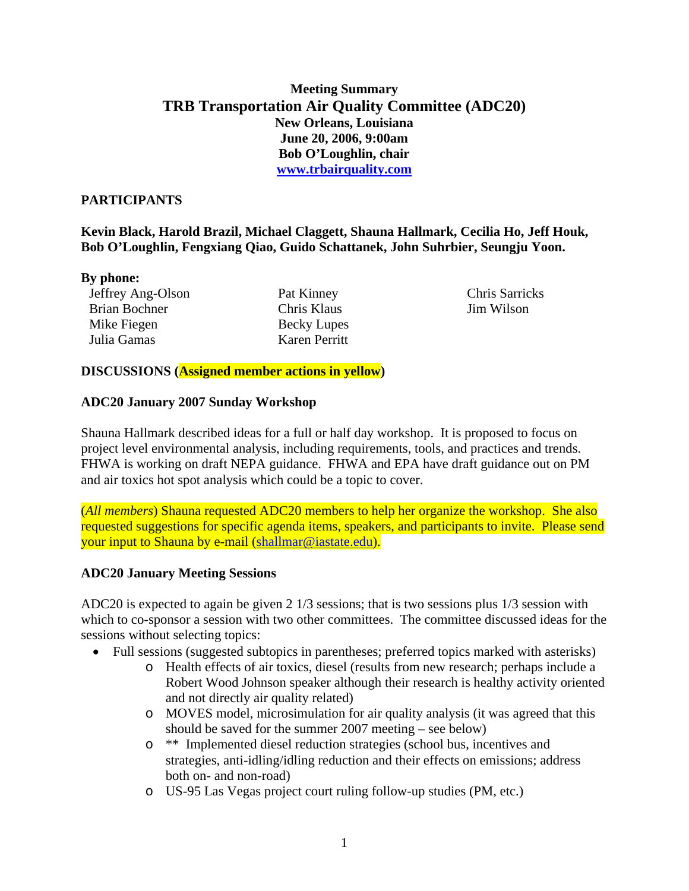# **Meeting Summary TRB Transportation Air Quality Committee (ADC20) New Orleans, Louisiana June 20, 2006, 9:00am Bob O'Loughlin, chair [www.trbairquality.com](http://www.trbairquality.com/)**

### **PARTICIPANTS**

**Kevin Black, Harold Brazil, Michael Claggett, Shauna Hallmark, Cecilia Ho, Jeff Houk, Bob O'Loughlin, Fengxiang Qiao, Guido Schattanek, John Suhrbier, Seungju Yoon.** 

#### **By phone:**

| Jeffrey Ang-Olson    |
|----------------------|
| <b>Brian Bochner</b> |
| Mike Fiegen          |
| Julia Gamas          |

Pat Kinney Chris Klaus Becky Lupes Karen Perritt

Chris Sarricks Jim Wilson

### **DISCUSSIONS (Assigned member actions in yellow)**

### **ADC20 January 2007 Sunday Workshop**

Shauna Hallmark described ideas for a full or half day workshop. It is proposed to focus on project level environmental analysis, including requirements, tools, and practices and trends. FHWA is working on draft NEPA guidance. FHWA and EPA have draft guidance out on PM and air toxics hot spot analysis which could be a topic to cover.

(*All members*) Shauna requested ADC20 members to help her organize the workshop. She also requested suggestions for specific agenda items, speakers, and participants to invite. Please send your input to Shauna by e-mail ([shallmar@iastate.edu](mailto:shallmar@iastate.edu)).

## **ADC20 January Meeting Sessions**

ADC20 is expected to again be given 2 1/3 sessions; that is two sessions plus 1/3 session with which to co-sponsor a session with two other committees. The committee discussed ideas for the sessions without selecting topics:

- Full sessions (suggested subtopics in parentheses; preferred topics marked with asterisks)
	- o Health effects of air toxics, diesel (results from new research; perhaps include a Robert Wood Johnson speaker although their research is healthy activity oriented and not directly air quality related)
	- o MOVES model, microsimulation for air quality analysis (it was agreed that this should be saved for the summer 2007 meeting – see below)
	- o \*\* Implemented diesel reduction strategies (school bus, incentives and strategies, anti-idling/idling reduction and their effects on emissions; address both on- and non-road)
	- o US-95 Las Vegas project court ruling follow-up studies (PM, etc.)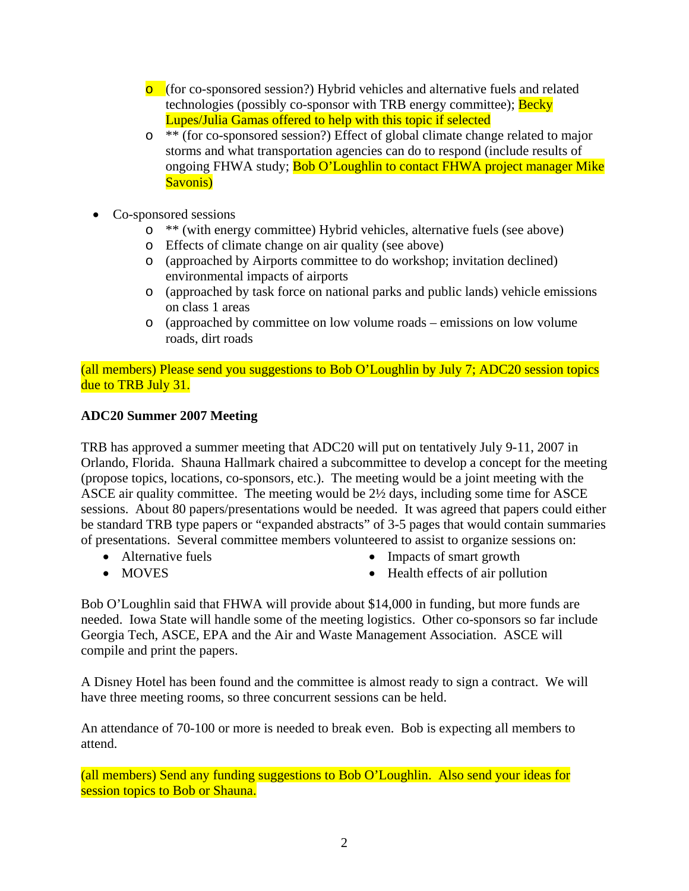- o (for co-sponsored session?) Hybrid vehicles and alternative fuels and related technologies (possibly co-sponsor with TRB energy committee); **Becky** Lupes/Julia Gamas offered to help with this topic if selected
- o \*\* (for co-sponsored session?) Effect of global climate change related to major storms and what transportation agencies can do to respond (include results of ongoing FHWA study; **Bob O'Loughlin to contact FHWA project manager Mike** Savonis)
- Co-sponsored sessions
	- o \*\* (with energy committee) Hybrid vehicles, alternative fuels (see above)
	- o Effects of climate change on air quality (see above)
	- o (approached by Airports committee to do workshop; invitation declined) environmental impacts of airports
	- o (approached by task force on national parks and public lands) vehicle emissions on class 1 areas
	- o (approached by committee on low volume roads emissions on low volume roads, dirt roads

(all members) Please send you suggestions to Bob O'Loughlin by July 7; ADC20 session topics due to TRB July 31.

#### **ADC20 Summer 2007 Meeting**

TRB has approved a summer meeting that ADC20 will put on tentatively July 9-11, 2007 in Orlando, Florida. Shauna Hallmark chaired a subcommittee to develop a concept for the meeting (propose topics, locations, co-sponsors, etc.). The meeting would be a joint meeting with the ASCE air quality committee. The meeting would be 2½ days, including some time for ASCE sessions. About 80 papers/presentations would be needed. It was agreed that papers could either be standard TRB type papers or "expanded abstracts" of 3-5 pages that would contain summaries of presentations. Several committee members volunteered to assist to organize sessions on:

• Alternative fuels

• Impacts of smart growth

• MOVES

• Health effects of air pollution

Bob O'Loughlin said that FHWA will provide about \$14,000 in funding, but more funds are needed. Iowa State will handle some of the meeting logistics. Other co-sponsors so far include Georgia Tech, ASCE, EPA and the Air and Waste Management Association. ASCE will compile and print the papers.

A Disney Hotel has been found and the committee is almost ready to sign a contract. We will have three meeting rooms, so three concurrent sessions can be held.

An attendance of 70-100 or more is needed to break even. Bob is expecting all members to attend.

(all members) Send any funding suggestions to Bob O'Loughlin. Also send your ideas for session topics to Bob or Shauna.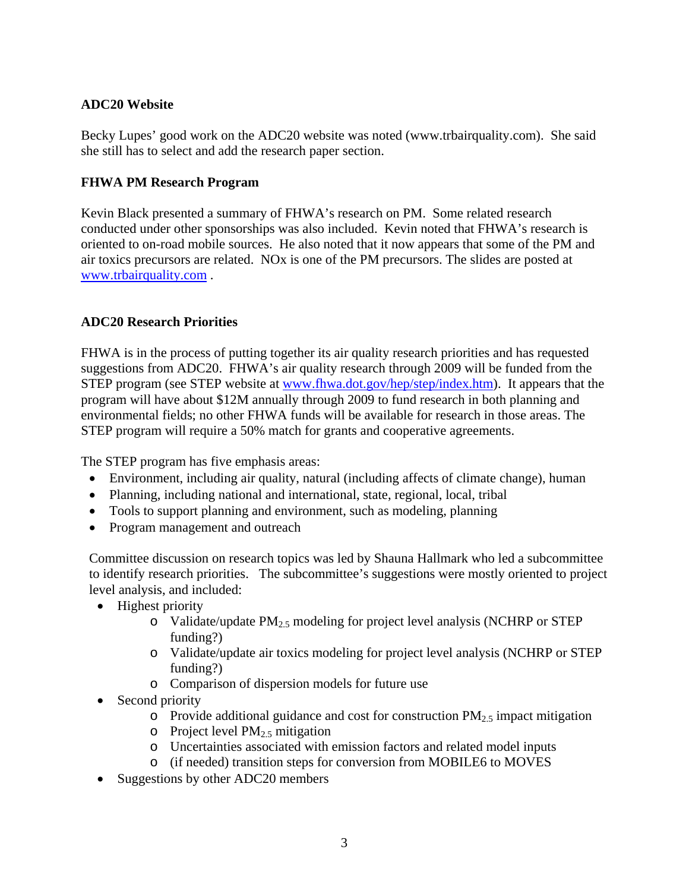# **ADC20 Website**

Becky Lupes' good work on the ADC20 website was noted (www.trbairquality.com). She said she still has to select and add the research paper section.

## **FHWA PM Research Program**

Kevin Black presented a summary of FHWA's research on PM. Some related research conducted under other sponsorships was also included. Kevin noted that FHWA's research is oriented to on-road mobile sources. He also noted that it now appears that some of the PM and air toxics precursors are related. NOx is one of the PM precursors. The slides are posted at [www.trbairquality.com](http://www.trbairquality.com/) .

## **ADC20 Research Priorities**

FHWA is in the process of putting together its air quality research priorities and has requested suggestions from ADC20. FHWA's air quality research through 2009 will be funded from the STEP program (see STEP website at [www.fhwa.dot.gov/hep/step/index.htm\)](http://www.fhwa.dot.gov/hep/step/index.htm). It appears that the program will have about \$12M annually through 2009 to fund research in both planning and environmental fields; no other FHWA funds will be available for research in those areas. The STEP program will require a 50% match for grants and cooperative agreements.

The STEP program has five emphasis areas:

- Environment, including air quality, natural (including affects of climate change), human
- Planning, including national and international, state, regional, local, tribal
- Tools to support planning and environment, such as modeling, planning
- Program management and outreach

Committee discussion on research topics was led by Shauna Hallmark who led a subcommittee to identify research priorities. The subcommittee's suggestions were mostly oriented to project level analysis, and included:

- Highest priority
	- o Validate/update  $PM_{2.5}$  modeling for project level analysis (NCHRP or STEP funding?)
	- o Validate/update air toxics modeling for project level analysis (NCHRP or STEP funding?)
	- o Comparison of dispersion models for future use
- Second priority
	- $\circ$  Provide additional guidance and cost for construction PM<sub>2.5</sub> impact mitigation
	- $\circ$  Project level PM<sub>2.5</sub> mitigation
	- o Uncertainties associated with emission factors and related model inputs
	- o (if needed) transition steps for conversion from MOBILE6 to MOVES
- Suggestions by other ADC20 members